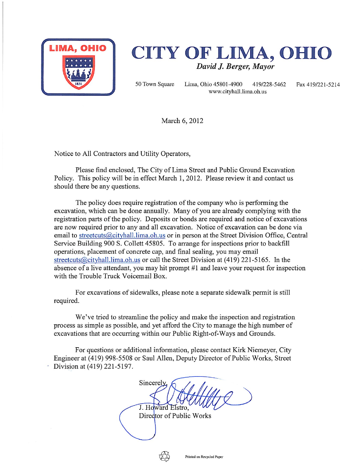



50 Town Square Lima, Ohio 45801-4900 419/228-5462 Fax 419/221-5214 www.cityhall.lima.oh.us

March 6, 2012

Notice to All Contractors and Utility Operators,

Please find enclosed, The City of Lima Street and Public Ground Excavation Policy. This policy will be in effect March 1, 2012. Please review it and contact us should there be any questions.

The policy does require registration of the company who is performing the excavation, which can be done annually. Many of you are already complying with the registration parts of the policy. Deposits or bonds are required and notice of excavations are now required prior to any and all excavation. Notice of excavation can be done via email to streetcuts @cityhall.lima.oh.us or in person at the Street Division Office, Central Service Building 900 S. Collett 45805. To arrange for inspections prior to backfill operations, placement of concrete cap, and final sealing, you may email streetcuts@cityhall.lima.oh.us or call the Street Division at (419) 221-5165. In the absence of a live attendant, you may hit prompt #1 and leave your request for inspection with the Trouble Truck Voicemail Box.

For excavations of sidewalks, please note a separate sidewalk permit is still required.

We've tried to streamline the policy and make the inspection and registration process as simple as possible, and yet afford the City to manage the high number of excavations that are occurring within our Public Right-of-Ways and Grounds.

For questions or additional information, please contact Kirk Niemeyer, City Engineer at (419) 998-5508 or Saul Allen, Deputy Director of Public Works, Street Division at (419) 221-5197.

Sincerely J. Howard Elstro.

Director of Public Works

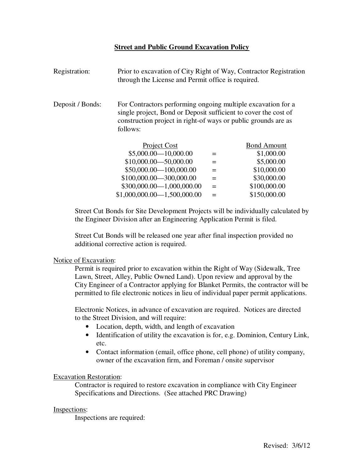### **Street and Public Ground Excavation Policy**

| Registration:    | Prior to excavation of City Right of Way, Contractor Registration<br>through the License and Permit office is required.                                                                                       |     |                    |  |  |  |
|------------------|---------------------------------------------------------------------------------------------------------------------------------------------------------------------------------------------------------------|-----|--------------------|--|--|--|
| Deposit / Bonds: | For Contractors performing ongoing multiple excavation for a<br>single project, Bond or Deposit sufficient to cover the cost of<br>construction project in right-of ways or public grounds are as<br>follows: |     |                    |  |  |  |
|                  | Project Cost                                                                                                                                                                                                  |     | <b>Bond Amount</b> |  |  |  |
|                  | $$5,000.00 - 10,000.00$                                                                                                                                                                                       | $=$ | \$1,000.00         |  |  |  |
|                  | $$10,000.00 - 50,000.00$                                                                                                                                                                                      | $=$ | \$5,000.00         |  |  |  |
|                  | \$50,000.00 - 100,000.00                                                                                                                                                                                      | $=$ | \$10,000.00        |  |  |  |
|                  | \$100,000.00 - 300,000.00                                                                                                                                                                                     | $=$ | \$30,000.00        |  |  |  |
|                  | \$300,000.00-1,000,000.00                                                                                                                                                                                     | $=$ | \$100,000.00       |  |  |  |
|                  | $$1,000,000.00$ — $1,500,000.00$                                                                                                                                                                              |     | \$150,000.00       |  |  |  |

Street Cut Bonds for Site Development Projects will be individually calculated by the Engineer Division after an Engineering Application Permit is filed.

Street Cut Bonds will be released one year after final inspection provided no additional corrective action is required.

### Notice of Excavation:

Permit is required prior to excavation within the Right of Way (Sidewalk, Tree Lawn, Street, Alley, Public Owned Land). Upon review and approval by the City Engineer of a Contractor applying for Blanket Permits, the contractor will be permitted to file electronic notices in lieu of individual paper permit applications.

Electronic Notices, in advance of excavation are required. Notices are directed to the Street Division, and will require:

- Location, depth, width, and length of excavation
- Identification of utility the excavation is for, e.g. Dominion, Century Link, etc.
- Contact information (email, office phone, cell phone) of utility company, owner of the excavation firm, and Foreman / onsite supervisor

### Excavation Restoration:

Contractor is required to restore excavation in compliance with City Engineer Specifications and Directions. (See attached PRC Drawing)

#### Inspections:

Inspections are required: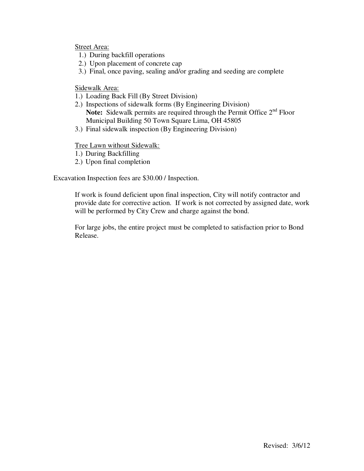Street Area:

- 1.) During backfill operations
- 2.) Upon placement of concrete cap
- 3.) Final, once paving, sealing and/or grading and seeding are complete

Sidewalk Area:

- 1.) Loading Back Fill (By Street Division)
- 2.) Inspections of sidewalk forms (By Engineering Division) Note: Sidewalk permits are required through the Permit Office 2<sup>nd</sup> Floor Municipal Building 50 Town Square Lima, OH 45805
- 3.) Final sidewalk inspection (By Engineering Division)

Tree Lawn without Sidewalk:

- 1.) During Backfilling
- 2.) Upon final completion

Excavation Inspection fees are \$30.00 / Inspection.

If work is found deficient upon final inspection, City will notify contractor and provide date for corrective action. If work is not corrected by assigned date, work will be performed by City Crew and charge against the bond.

For large jobs, the entire project must be completed to satisfaction prior to Bond Release.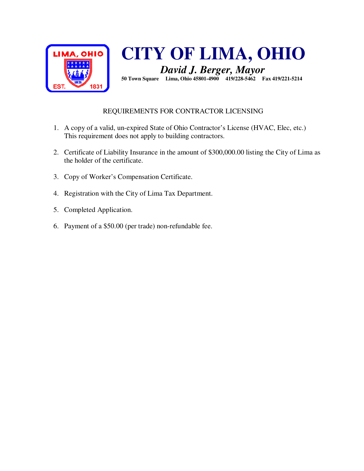

 **CITY OF LIMA, OHIO** *David J. Berger, Mayor*

 **50 Town Square Lima, Ohio 45801-4900 419/228-5462 Fax 419/221-5214**

## REQUIREMENTS FOR CONTRACTOR LICENSING

- 1. A copy of a valid, un-expired State of Ohio Contractor's License (HVAC, Elec, etc.) This requirement does not apply to building contractors.
- 2. Certificate of Liability Insurance in the amount of \$300,000.00 listing the City of Lima as the holder of the certificate.
- 3. Copy of Worker's Compensation Certificate.
- 4. Registration with the City of Lima Tax Department.
- 5. Completed Application.
- 6. Payment of a \$50.00 (per trade) non-refundable fee.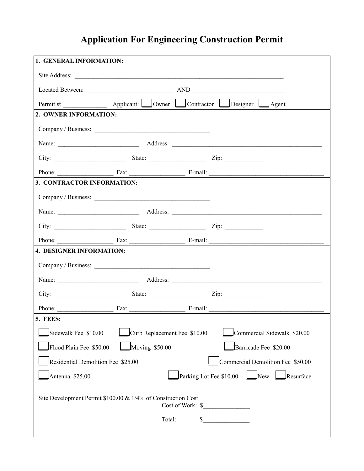# **Application For Engineering Construction Permit**

| 1. GENERAL INFORMATION:                                      |                              |                                                                                                                                                                                                                                |
|--------------------------------------------------------------|------------------------------|--------------------------------------------------------------------------------------------------------------------------------------------------------------------------------------------------------------------------------|
|                                                              |                              |                                                                                                                                                                                                                                |
|                                                              |                              |                                                                                                                                                                                                                                |
|                                                              |                              |                                                                                                                                                                                                                                |
| 2. OWNER INFORMATION:                                        |                              |                                                                                                                                                                                                                                |
|                                                              |                              |                                                                                                                                                                                                                                |
|                                                              |                              |                                                                                                                                                                                                                                |
|                                                              |                              |                                                                                                                                                                                                                                |
|                                                              |                              | Phone: Fax: Fax: Fax: Francisco E-mail: Francisco E-mail: Francisco E-mail: Francisco E-mail: Francisco E-mail: Francisco E-mail: Francisco E-mail: Francisco E-mail: Francisco E-mail: Francisco E-mail: Francisco E-mail: Fr |
| 3. CONTRACTOR INFORMATION:                                   |                              |                                                                                                                                                                                                                                |
|                                                              |                              |                                                                                                                                                                                                                                |
|                                                              |                              |                                                                                                                                                                                                                                |
|                                                              |                              |                                                                                                                                                                                                                                |
|                                                              |                              | Phone: Fax: Fax: Fax: E-mail:                                                                                                                                                                                                  |
| 4. DESIGNER INFORMATION:                                     |                              |                                                                                                                                                                                                                                |
|                                                              |                              |                                                                                                                                                                                                                                |
|                                                              |                              |                                                                                                                                                                                                                                |
|                                                              |                              |                                                                                                                                                                                                                                |
|                                                              |                              | Phone: Fax: Fax: E-mail:                                                                                                                                                                                                       |
| <b>5. FEES:</b>                                              |                              |                                                                                                                                                                                                                                |
| Sidewalk Fee \$10.00                                         | Curb Replacement Fee \$10.00 | Commercial Sidewalk \$20.00                                                                                                                                                                                                    |
| Flood Plain Fee \$50.00                                      | Moving \$50.00               | Barricade Fee \$20.00                                                                                                                                                                                                          |
| Residential Demolition Fee \$25.00                           |                              | Commercial Demolition Fee \$50.00                                                                                                                                                                                              |
| Antenna \$25.00                                              |                              | Parking Lot Fee \$10.00 - New Lesurface                                                                                                                                                                                        |
| Site Development Permit \$100.00 & 1/4% of Construction Cost |                              | Cost of Work: \$                                                                                                                                                                                                               |
|                                                              | Total:                       | \$                                                                                                                                                                                                                             |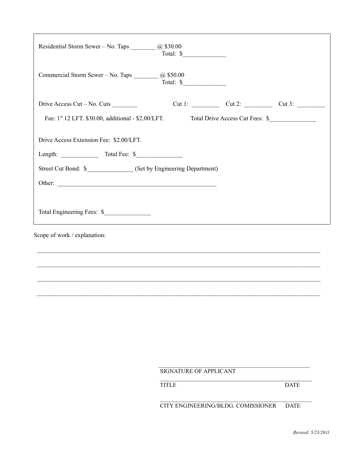| Residential Storm Sewer - No. Taps ________ @ \$30.00                                                                                           | Total: \$ |  |
|-------------------------------------------------------------------------------------------------------------------------------------------------|-----------|--|
| Commercial Storm Sewer - No. Taps _________ @ \$50.00                                                                                           | Total: \$ |  |
| Drive Access Cut – No. Cuts $\frac{ }{ }$                                                                                                       |           |  |
| Fee: 1st 12 LFT. \$30.00, additional - \$2.00/LFT. Total Drive Access Cut Fees: \$<br>Drive Access Extension Fee: \$2.00/LFT.                   |           |  |
|                                                                                                                                                 |           |  |
| Total Engineering Fees: \$<br>Scope of work / explanation:                                                                                      |           |  |
| ,我们也不能在这里的时候,我们也不能在这里的时候,我们也不能会不能会不能会不能会不能会不能会不能会不能会不能会不能会。<br>第2012章 我们的时候,我们的时候,我们的时候,我们的时候,我们的时候,我们的时候,我们的时候,我们的时候,我们的时候,我们的时候,我们的时候,我们的时候,我 |           |  |
|                                                                                                                                                 |           |  |
|                                                                                                                                                 |           |  |

| SIGNATURE OF APPLICANT                            |
|---------------------------------------------------|
| <b>DATE</b>                                       |
| CITY ENGINEERING/BLDG. COMISSIONER<br><b>DATE</b> |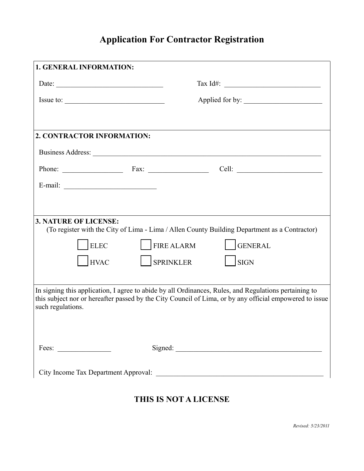# **Application For Contractor Registration**

| <b>1. GENERAL INFORMATION:</b> |                       |                                                                                                                                                                                                                  |  |  |
|--------------------------------|-----------------------|------------------------------------------------------------------------------------------------------------------------------------------------------------------------------------------------------------------|--|--|
|                                | Date: $\qquad \qquad$ |                                                                                                                                                                                                                  |  |  |
| Issue to: $\qquad \qquad$      |                       |                                                                                                                                                                                                                  |  |  |
|                                |                       |                                                                                                                                                                                                                  |  |  |
| 2. CONTRACTOR INFORMATION:     |                       |                                                                                                                                                                                                                  |  |  |
|                                |                       |                                                                                                                                                                                                                  |  |  |
|                                |                       | Phone: Fax: Cell: Cell:                                                                                                                                                                                          |  |  |
|                                |                       |                                                                                                                                                                                                                  |  |  |
|                                |                       |                                                                                                                                                                                                                  |  |  |
| <b>3. NATURE OF LICENSE:</b>   |                       | (To register with the City of Lima - Lima / Allen County Building Department as a Contractor)                                                                                                                    |  |  |
| <b>ELEC</b>                    | <b>FIRE ALARM</b>     | GENERAL                                                                                                                                                                                                          |  |  |
| <b>HVAC</b>                    | <b>SPRINKLER</b>      | <b>SIGN</b>                                                                                                                                                                                                      |  |  |
|                                |                       |                                                                                                                                                                                                                  |  |  |
| such regulations.              |                       | In signing this application, I agree to abide by all Ordinances, Rules, and Regulations pertaining to<br>this subject nor or hereafter passed by the City Council of Lima, or by any official empowered to issue |  |  |
|                                |                       |                                                                                                                                                                                                                  |  |  |
| Fees: $\qquad \qquad$          |                       |                                                                                                                                                                                                                  |  |  |
|                                |                       | City Income Tax Department Approval:                                                                                                                                                                             |  |  |

# **THIS IS NOT A LICENSE**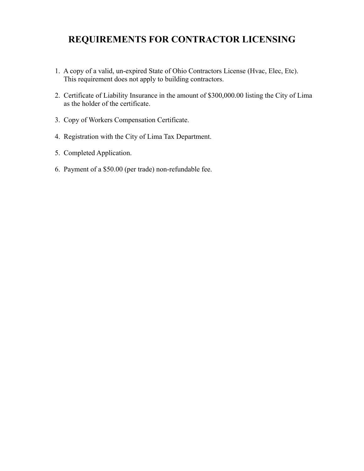# **REQUIREMENTS FOR CONTRACTOR LICENSING**

- 1. A copy of a valid, un-expired State of Ohio Contractors License (Hvac, Elec, Etc). This requirement does not apply to building contractors.
- 2. Certificate of Liability Insurance in the amount of \$300,000.00 listing the City of Lima as the holder of the certificate.
- 3. Copy of Workers Compensation Certificate.
- 4. Registration with the City of Lima Tax Department.
- 5. Completed Application.
- 6. Payment of a \$50.00 (per trade) non-refundable fee.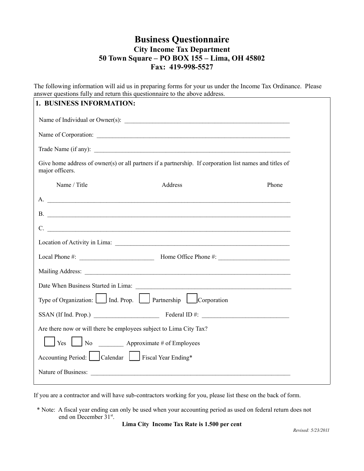## **Business Questionnaire City Income Tax Department 50 Town Square – PO BOX 155 – Lima, OH 45802 Fax: 419-998-5527**

The following information will aid us in preparing forms for your us under the Income Tax Ordinance. Please answer questions fully and return this questionnaire to the above address.

| 1. BUSINESS INFORMATION:                                                                                                   |       |
|----------------------------------------------------------------------------------------------------------------------------|-------|
|                                                                                                                            |       |
| Name of Corporation:                                                                                                       |       |
|                                                                                                                            |       |
| Give home address of owner(s) or all partners if a partnership. If corporation list names and titles of<br>major officers. |       |
| Name / Title<br>Address                                                                                                    | Phone |
| A.                                                                                                                         |       |
| B.                                                                                                                         |       |
| C.                                                                                                                         |       |
|                                                                                                                            |       |
|                                                                                                                            |       |
|                                                                                                                            |       |
|                                                                                                                            |       |
| Type of Organization: $\Box$ Ind. Prop. $\Box$ Partnership $\Box$ Corporation                                              |       |
| $SSAN (If Ind. Prop.)$ $\qquad \qquad$ Federal ID #:                                                                       |       |
| Are there now or will there be employees subject to Lima City Tax?                                                         |       |
| $\boxed{\phantom{1}}$ Yes $\boxed{\phantom{1}}$ No $\phantom{1}$ Approximate # of Employees                                |       |
| Accounting Period: Calendar Fiscal Year Ending*                                                                            |       |
|                                                                                                                            |       |
|                                                                                                                            |       |

If you are a contractor and will have sub-contractors working for you, please list these on the back of form.

 \* Note: A fiscal year ending can only be used when your accounting period as used on federal return does not end on December 31<sup>st</sup>.

**Lima City Income Tax Rate is 1.500 per cent**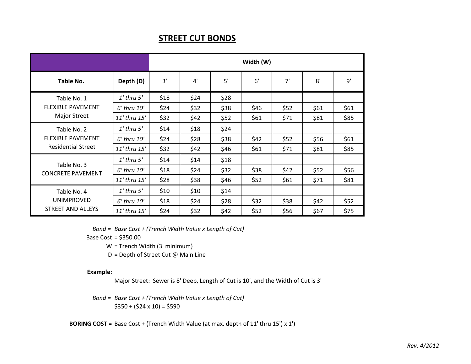## **STREET CUT BONDS**

|                                                                      |                 | Width (W) |      |      |      |      |      |      |
|----------------------------------------------------------------------|-----------------|-----------|------|------|------|------|------|------|
| Table No.                                                            | Depth (D)       | 3'        | 4'   | 5'   | 6'   | 7'   | 8'   | 9'   |
| Table No. 1<br><b>FLEXIBLE PAVEMENT</b><br><b>Major Street</b>       | $1'$ thru $5'$  | \$18      | \$24 | \$28 |      |      |      |      |
|                                                                      | $6'$ thru $10'$ | \$24      | \$32 | \$38 | \$46 | \$52 | \$61 | \$61 |
|                                                                      | 11' thru 15'    | \$32      | \$42 | \$52 | \$61 | \$71 | \$81 | \$85 |
| Table No. 2<br><b>FLEXIBLE PAVEMENT</b><br><b>Residential Street</b> | $1'$ thru $5'$  | \$14      | \$18 | \$24 |      |      |      |      |
|                                                                      | $6'$ thru $10'$ | \$24      | \$28 | \$38 | \$42 | \$52 | \$56 | \$61 |
|                                                                      | 11' thru 15'    | \$32      | \$42 | \$46 | \$61 | \$71 | \$81 | \$85 |
| Table No. 3<br><b>CONCRETE PAVEMENT</b>                              | $1'$ thru $5'$  | \$14      | \$14 | \$18 |      |      |      |      |
|                                                                      | $6'$ thru $10'$ | \$18      | \$24 | \$32 | \$38 | \$42 | \$52 | \$56 |
|                                                                      | 11' thru 15'    | \$28      | \$38 | \$46 | \$52 | \$61 | \$71 | \$81 |
| Table No. 4<br><b>UNIMPROVED</b><br><b>STREET AND ALLEYS</b>         | $1'$ thru $5'$  | \$10      | \$10 | \$14 |      |      |      |      |
|                                                                      | $6'$ thru $10'$ | \$18      | \$24 | \$28 | \$32 | \$38 | \$42 | \$52 |
|                                                                      | 11' thru 15'    | \$24      | \$32 | \$42 | \$52 | \$56 | \$67 | \$75 |

*Bond = Base Cost + (Trench Width Value x Length of Cut)*

Base Cost = \$350.00

W = Trench Width (3' minimum)

D = Depth of Street Cut @ Main Line

#### **Example:**

Major Street: Sewer is 8' Deep, Length of Cut is 10', and the Width of Cut is 3'

*Bond = Base Cost + (Trench Width Value x Length of Cut)*  $$350 + ($24 \times 10) = $590$ 

**BORING COST =** Base Cost + (Trench Width Value (at max. depth of 11' thru 15') x 1')